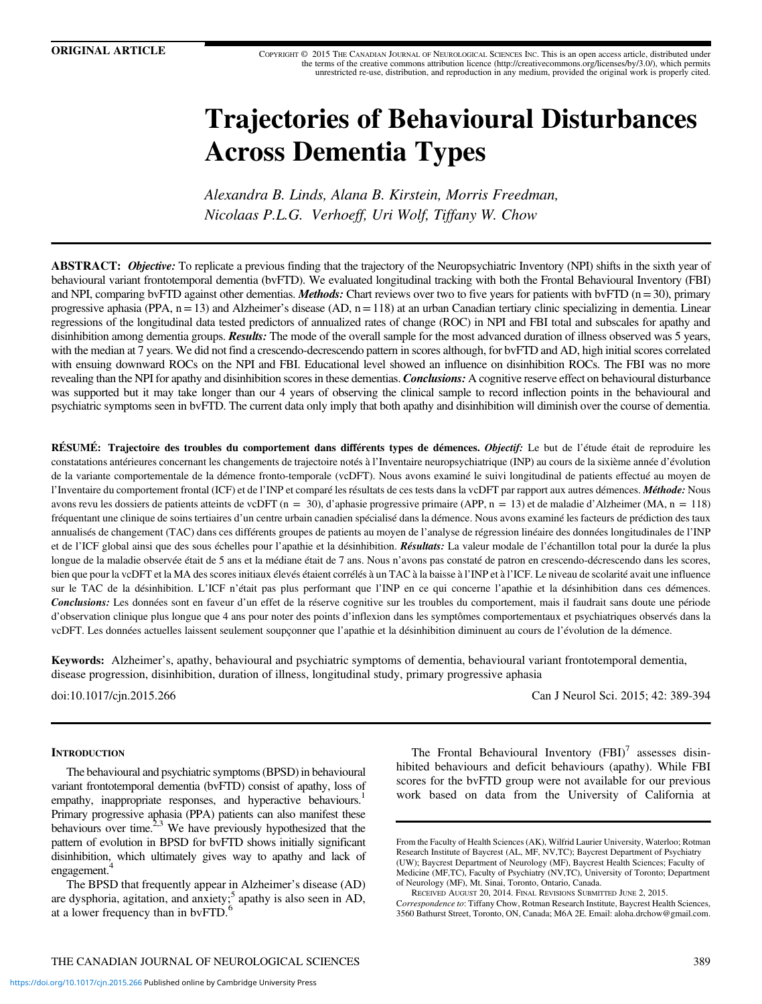**ORIGINAL ARTICLE** COPYRIGHT © 2015 THE CANADIAN JOURNAL OF NEUROLOGICAL SCIENCES INC. This is an open access article, distributed under the terms of the creative commons attribution licence (http://creativecommons.org/licenses/by/3.0/), which permits unrestricted re-use, distribution, and reproduction in any medium, provided the original work is properly cited.

# Trajectories of Behavioural Disturbances Across Dementia Types

Alexandra B. Linds, Alana B. Kirstein, Morris Freedman, Nicolaas P.L.G. Verhoeff, Uri Wolf, Tiffany W. Chow

ABSTRACT: Objective: To replicate a previous finding that the trajectory of the Neuropsychiatric Inventory (NPI) shifts in the sixth year of behavioural variant frontotemporal dementia (bvFTD). We evaluated longitudinal tracking with both the Frontal Behavioural Inventory (FBI) and NPI, comparing bvFTD against other dementias. *Methods*: Chart reviews over two to five years for patients with bvFTD ( $n=30$ ), primary progressive aphasia (PPA,  $n=13$ ) and Alzheimer's disease (AD,  $n=118$ ) at an urban Canadian tertiary clinic specializing in dementia. Linear regressions of the longitudinal data tested predictors of annualized rates of change (ROC) in NPI and FBI total and subscales for apathy and disinhibition among dementia groups. **Results:** The mode of the overall sample for the most advanced duration of illness observed was 5 years, with the median at 7 years. We did not find a crescendo-decrescendo pattern in scores although, for bvFTD and AD, high initial scores correlated with ensuing downward ROCs on the NPI and FBI. Educational level showed an influence on disinhibition ROCs. The FBI was no more revealing than the NPI for apathy and disinhibition scores in these dementias. Conclusions: A cognitive reserve effect on behavioural disturbance was supported but it may take longer than our 4 years of observing the clinical sample to record inflection points in the behavioural and psychiatric symptoms seen in bvFTD. The current data only imply that both apathy and disinhibition will diminish over the course of dementia.

RÉSUMÉ: Trajectoire des troubles du comportement dans différents types de démences. Objectif: Le but de l'étude était de reproduire les constatations antérieures concernant les changements de trajectoire notés à l'Inventaire neuropsychiatrique (INP) au cours de la sixième année d'évolution de la variante comportementale de la démence fronto-temporale (vcDFT). Nous avons examiné le suivi longitudinal de patients effectué au moyen de l'Inventaire du comportement frontal (ICF) et de l'INP et comparé les résultats de ces tests dans la vcDFT par rapport aux autres démences. Méthode: Nous avons revu les dossiers de patients atteints de vcDFT (n = 30), d'aphasie progressive primaire (APP, n = 13) et de maladie d'Alzheimer (MA, n = 118) fréquentant une clinique de soins tertiaires d'un centre urbain canadien spécialisé dans la démence. Nous avons examiné les facteurs de prédiction des taux annualisés de changement (TAC) dans ces différents groupes de patients au moyen de l'analyse de régression linéaire des données longitudinales de l'INP et de l'ICF global ainsi que des sous échelles pour l'apathie et la désinhibition. Résultats: La valeur modale de l'échantillon total pour la durée la plus longue de la maladie observée était de 5 ans et la médiane était de 7 ans. Nous n'avons pas constaté de patron en crescendo-décrescendo dans les scores, bien que pour la vcDFT et la MA des scores initiaux élevés étaient corrélés à un TAC à la baisse à l'INP et à l'ICF. Le niveau de scolarité avait une influence sur le TAC de la désinhibition. L'ICF n'était pas plus performant que l'INP en ce qui concerne l'apathie et la désinhibition dans ces démences. Conclusions: Les données sont en faveur d'un effet de la réserve cognitive sur les troubles du comportement, mais il faudrait sans doute une période d'observation clinique plus longue que 4 ans pour noter des points d'inflexion dans les symptômes comportementaux et psychiatriques observés dans la vcDFT. Les données actuelles laissent seulement soupçonner que l'apathie et la désinhibition diminuent au cours de l'évolution de la démence.

Keywords: Alzheimer's, apathy, behavioural and psychiatric symptoms of dementia, behavioural variant frontotemporal dementia, disease progression, disinhibition, duration of illness, longitudinal study, primary progressive aphasia

doi:10.1017/cjn.2015.266 Can J Neurol Sci. 2015; 42: 389-394

## **INTRODUCTION**

The behavioural and psychiatric symptoms (BPSD) in behavioural variant frontotemporal dementia (bvFTD) consist of apathy, loss of empathy, inappropriate responses, and hyperactive behaviours.<sup>1</sup> Primary progressive aphasia (PPA) patients can also manifest these behaviours over time.<sup>2,3</sup> We have previously hypothesized that the pattern of evolution in BPSD for bvFTD shows initially significant disinhibition, which ultimately gives way to apathy and lack of engagement.<sup>4</sup>

The BPSD that frequently appear in Alzheimer's disease (AD) are dysphoria, agitation, and anxiety;<sup>[5](#page-5-0)</sup> apathy is also seen in AD, at a lower frequency than in bvFTD.<sup>[6](#page-5-0)</sup>

The Frontal Behavioural Inventory  $(FBI)^7$  $(FBI)^7$  assesses disinhibited behaviours and deficit behaviours (apathy). While FBI scores for the bvFTD group were not available for our previous work based on data from the University of California at

From the Faculty of Health Sciences (AK), Wilfrid Laurier University, Waterloo; Rotman Research Institute of Baycrest (AL, MF, NV,TC); Baycrest Department of Psychiatry (UW); Baycrest Department of Neurology (MF), Baycrest Health Sciences; Faculty of Medicine (MF,TC), Faculty of Psychiatry (NV,TC), University of Toronto; Department of Neurology (MF), Mt. Sinai, Toronto, Ontario, Canada.

Correspondence to: Tiffany Chow, Rotman Research Institute, Baycrest Health Sciences, 3560 Bathurst Street, Toronto, ON, Canada; M6A 2E. Email: [aloha.drchow@gmail.com](mailto:aloha.drchow@gmail.com). RECEIVED AUGUST 20, 2014. FINAL REVISIONS SUBMITTED JUNE 2, 2015.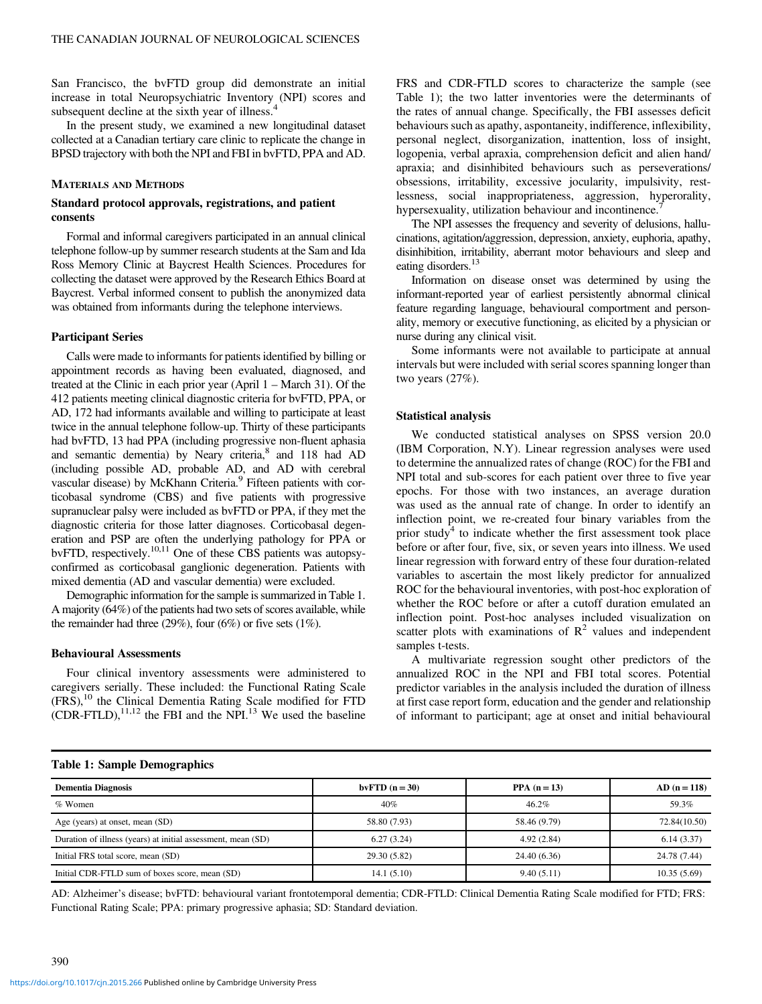<span id="page-1-0"></span>San Francisco, the bvFTD group did demonstrate an initial increase in total Neuropsychiatric Inventory (NPI) scores and subsequent decline at the sixth year of illness.<sup>[4](#page-5-0)</sup>

In the present study, we examined a new longitudinal dataset collected at a Canadian tertiary care clinic to replicate the change in BPSD trajectory with both the NPI and FBI in bvFTD, PPA and AD.

## MATERIALS AND METHODS

# Standard protocol approvals, registrations, and patient consents

Formal and informal caregivers participated in an annual clinical telephone follow-up by summer research students at the Sam and Ida Ross Memory Clinic at Baycrest Health Sciences. Procedures for collecting the dataset were approved by the Research Ethics Board at Baycrest. Verbal informed consent to publish the anonymized data was obtained from informants during the telephone interviews.

## Participant Series

Calls were made to informants for patients identified by billing or appointment records as having been evaluated, diagnosed, and treated at the Clinic in each prior year (April 1 – March 31). Of the 412 patients meeting clinical diagnostic criteria for bvFTD, PPA, or AD, 172 had informants available and willing to participate at least twice in the annual telephone follow-up. Thirty of these participants had bvFTD, 13 had PPA (including progressive non-fluent aphasia and semantic dementia) by Neary criteria,[8](#page-5-0) and 118 had AD (including possible AD, probable AD, and AD with cerebral vascular disease) by McKhann Criteria.<sup>[9](#page-5-0)</sup> Fifteen patients with corticobasal syndrome (CBS) and five patients with progressive supranuclear palsy were included as bvFTD or PPA, if they met the diagnostic criteria for those latter diagnoses. Corticobasal degeneration and PSP are often the underlying pathology for PPA or bvFTD, respectively.<sup>10,11</sup> One of these CBS patients was autopsyconfirmed as corticobasal ganglionic degeneration. Patients with mixed dementia (AD and vascular dementia) were excluded.

Demographic information for the sample is summarized in Table 1. A majority (64%) of the patients had two sets of scores available, while the remainder had three  $(29\%)$ , four  $(6\%)$  or five sets  $(1\%)$ .

### Behavioural Assessments

Four clinical inventory assessments were administered to caregivers serially. These included: the Functional Rating Scale (FRS),<sup>[10](#page-5-0)</sup> the Clinical Dementia Rating Scale modified for FTD  $(CDR-FTLD)$ ,  $^{11,12}$  $^{11,12}$  $^{11,12}$  the FBI and the NPI.<sup>13</sup> We used the baseline FRS and CDR-FTLD scores to characterize the sample (see Table 1); the two latter inventories were the determinants of the rates of annual change. Specifically, the FBI assesses deficit behaviours such as apathy, aspontaneity, indifference, inflexibility, personal neglect, disorganization, inattention, loss of insight, logopenia, verbal apraxia, comprehension deficit and alien hand/ apraxia; and disinhibited behaviours such as perseverations/ obsessions, irritability, excessive jocularity, impulsivity, restlessness, social inappropriateness, aggression, hyperorality, hypersexuality, utilization behaviour and incontinence.<sup>[7](#page-5-0)</sup>

The NPI assesses the frequency and severity of delusions, hallucinations, agitation/aggression, depression, anxiety, euphoria, apathy, disinhibition, irritability, aberrant motor behaviours and sleep and eating disorders.<sup>13</sup>

Information on disease onset was determined by using the informant-reported year of earliest persistently abnormal clinical feature regarding language, behavioural comportment and personality, memory or executive functioning, as elicited by a physician or nurse during any clinical visit.

Some informants were not available to participate at annual intervals but were included with serial scores spanning longer than two years (27%).

## Statistical analysis

We conducted statistical analyses on SPSS version 20.0 (IBM Corporation, N.Y). Linear regression analyses were used to determine the annualized rates of change (ROC) for the FBI and NPI total and sub-scores for each patient over three to five year epochs. For those with two instances, an average duration was used as the annual rate of change. In order to identify an inflection point, we re-created four binary variables from the prior study<sup>[4](#page-5-0)</sup> to indicate whether the first assessment took place before or after four, five, six, or seven years into illness. We used linear regression with forward entry of these four duration-related variables to ascertain the most likely predictor for annualized ROC for the behavioural inventories, with post-hoc exploration of whether the ROC before or after a cutoff duration emulated an inflection point. Post-hoc analyses included visualization on scatter plots with examinations of  $\mathbb{R}^2$  values and independent samples t-tests.

A multivariate regression sought other predictors of the annualized ROC in the NPI and FBI total scores. Potential predictor variables in the analysis included the duration of illness at first case report form, education and the gender and relationship of informant to participant; age at onset and initial behavioural

## Table 1: Sample Demographics

| <b>Dementia Diagnosis</b>                                    | bvFTD $(n=30)$ | PPA $(n=13)$ | $AD (n = 118)$ |  |
|--------------------------------------------------------------|----------------|--------------|----------------|--|
| $%$ Women                                                    | 40%            | $46.2\%$     | 59.3%          |  |
| Age (years) at onset, mean (SD)                              | 58.80 (7.93)   | 58.46 (9.79) | 72.84(10.50)   |  |
| Duration of illness (years) at initial assessment, mean (SD) | 6.27(3.24)     | 4.92(2.84)   | 6.14(3.37)     |  |
| Initial FRS total score, mean (SD)                           | 29.30 (5.82)   | 24.40 (6.36) | 24.78 (7.44)   |  |
| Initial CDR-FTLD sum of boxes score, mean (SD)               | 14.1(5.10)     | 9.40(5.11)   | 10.35(5.69)    |  |

AD: Alzheimer's disease; bvFTD: behavioural variant frontotemporal dementia; CDR-FTLD: Clinical Dementia Rating Scale modified for FTD; FRS: Functional Rating Scale; PPA: primary progressive aphasia; SD: Standard deviation.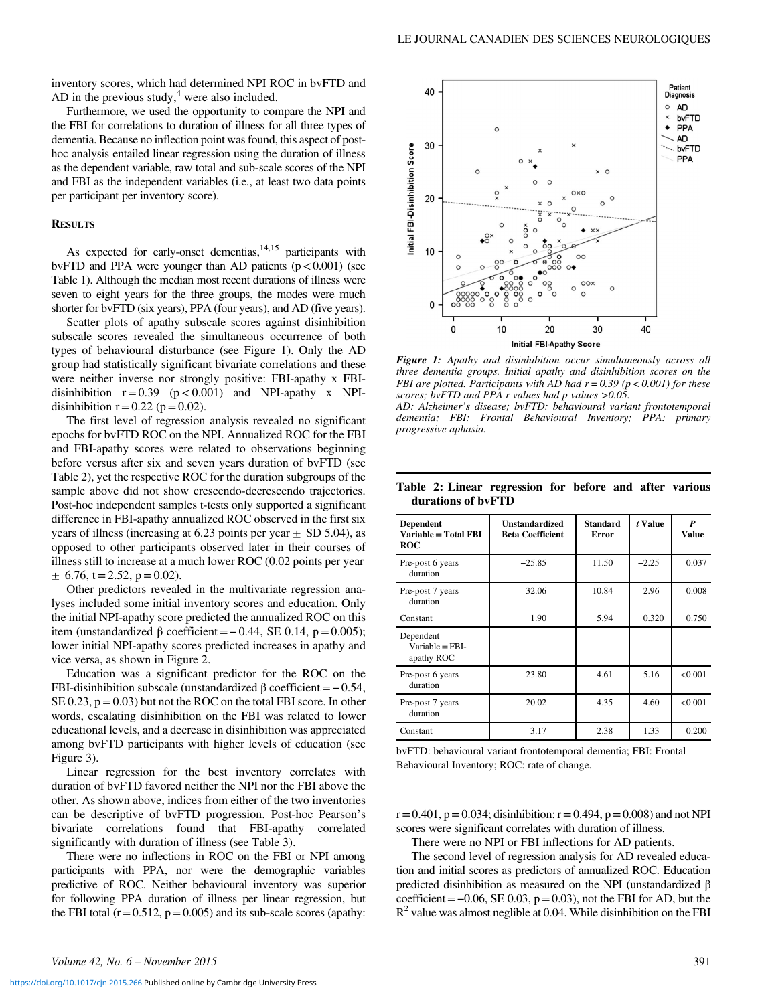inventory scores, which had determined NPI ROC in bvFTD and AD in the previous study, $4$  were also included.

Furthermore, we used the opportunity to compare the NPI and the FBI for correlations to duration of illness for all three types of dementia. Because no inflection point was found, this aspect of posthoc analysis entailed linear regression using the duration of illness as the dependent variable, raw total and sub-scale scores of the NPI and FBI as the independent variables (i.e., at least two data points per participant per inventory score).

# **RESULTS**

As expected for early-onset dementias, $14,15$  $14,15$  participants with bvFTD and PPA were younger than AD patients  $(p < 0.001)$  (see [Table 1](#page-1-0)). Although the median most recent durations of illness were seven to eight years for the three groups, the modes were much shorter for bvFTD (six years), PPA (four years), and AD (five years).

Scatter plots of apathy subscale scores against disinhibition subscale scores revealed the simultaneous occurrence of both types of behavioural disturbance (see Figure 1). Only the AD group had statistically significant bivariate correlations and these were neither inverse nor strongly positive: FBI-apathy x FBIdisinhibition  $r=0.39$  ( $p < 0.001$ ) and NPI-apathy x NPIdisinhibition  $r = 0.22$  ( $p = 0.02$ ).

The first level of regression analysis revealed no significant epochs for bvFTD ROC on the NPI. Annualized ROC for the FBI and FBI-apathy scores were related to observations beginning before versus after six and seven years duration of bvFTD (see Table 2), yet the respective ROC for the duration subgroups of the sample above did not show crescendo-decrescendo trajectories. Post-hoc independent samples t-tests only supported a significant difference in FBI-apathy annualized ROC observed in the first six years of illness (increasing at  $6.23$  points per year  $\pm$  SD 5.04), as opposed to other participants observed later in their courses of illness still to increase at a much lower ROC (0.02 points per year  $\pm$  6.76, t = 2.52, p = 0.02).

Other predictors revealed in the multivariate regression analyses included some initial inventory scores and education. Only the initial NPI-apathy score predicted the annualized ROC on this item (unstandardized β coefficient =  $-0.44$ , SE 0.14, p = 0.005); lower initial NPI-apathy scores predicted increases in apathy and vice versa, as shown in [Figure 2.](#page-3-0)

Education was a significant predictor for the ROC on the FBI-disinhibition subscale (unstandardized β coefficient =  $-0.54$ , SE 0.23,  $p = 0.03$ ) but not the ROC on the total FBI score. In other words, escalating disinhibition on the FBI was related to lower educational levels, and a decrease in disinhibition was appreciated among bvFTD participants with higher levels of education (see [Figure 3\)](#page-3-0).

Linear regression for the best inventory correlates with duration of bvFTD favored neither the NPI nor the FBI above the other. As shown above, indices from either of the two inventories can be descriptive of bvFTD progression. Post-hoc Pearson's bivariate correlations found that FBI-apathy correlated significantly with duration of illness (see [Table 3](#page-3-0)).

There were no inflections in ROC on the FBI or NPI among participants with PPA, nor were the demographic variables predictive of ROC. Neither behavioural inventory was superior for following PPA duration of illness per linear regression, but the FBI total  $(r=0.512, p=0.005)$  and its sub-scale scores (apathy:



Figure 1: Apathy and disinhibition occur simultaneously across all three dementia groups. Initial apathy and disinhibition scores on the FBI are plotted. Participants with AD had  $r = 0.39$  ( $p < 0.001$ ) for these scores; by FTD and PPA r values had p values > 0.05.

AD: Alzheimer's disease; bvFTD: behavioural variant frontotemporal dementia; FBI: Frontal Behavioural Inventory; PPA: primary progressive aphasia.

| <b>Dependent</b><br>Variable = Total FBI<br>ROC | <b>Unstandardized</b><br><b>Beta Coefficient</b> | <b>Standard</b><br>Error | t Value | P<br>Value |
|-------------------------------------------------|--------------------------------------------------|--------------------------|---------|------------|
| Pre-post 6 years<br>duration                    | $-25.85$                                         | 11.50                    | $-2.25$ | 0.037      |
| Pre-post 7 years<br>duration                    | 32.06                                            | 10.84                    | 2.96    | 0.008      |
| Constant                                        | 1.90                                             | 5.94                     | 0.320   | 0.750      |
| Dependent<br>$Variable = FBI -$<br>apathy ROC   |                                                  |                          |         |            |
| Pre-post 6 years<br>duration                    | $-23.80$                                         | 4.61                     | $-5.16$ | < 0.001    |
| Pre-post 7 years<br>duration                    | 20.02                                            | 4.35                     | 4.60    | < 0.001    |
| Constant                                        | 3.17                                             | 2.38                     | 1.33    | 0.200      |

# Table 2: Linear regression for before and after various durations of bvFTD

bvFTD: behavioural variant frontotemporal dementia; FBI: Frontal Behavioural Inventory; ROC: rate of change.

 $r=0.401$ ,  $p=0.034$ ; disinhibition:  $r=0.494$ ,  $p=0.008$ ) and not NPI scores were significant correlates with duration of illness.

There were no NPI or FBI inflections for AD patients.

The second level of regression analysis for AD revealed education and initial scores as predictors of annualized ROC. Education predicted disinhibition as measured on the NPI (unstandardized β coefficient =  $-0.06$ , SE 0.03, p = 0.03), not the FBI for AD, but the  $R<sup>2</sup>$  value was almost neglible at 0.04. While disinhibition on the FBI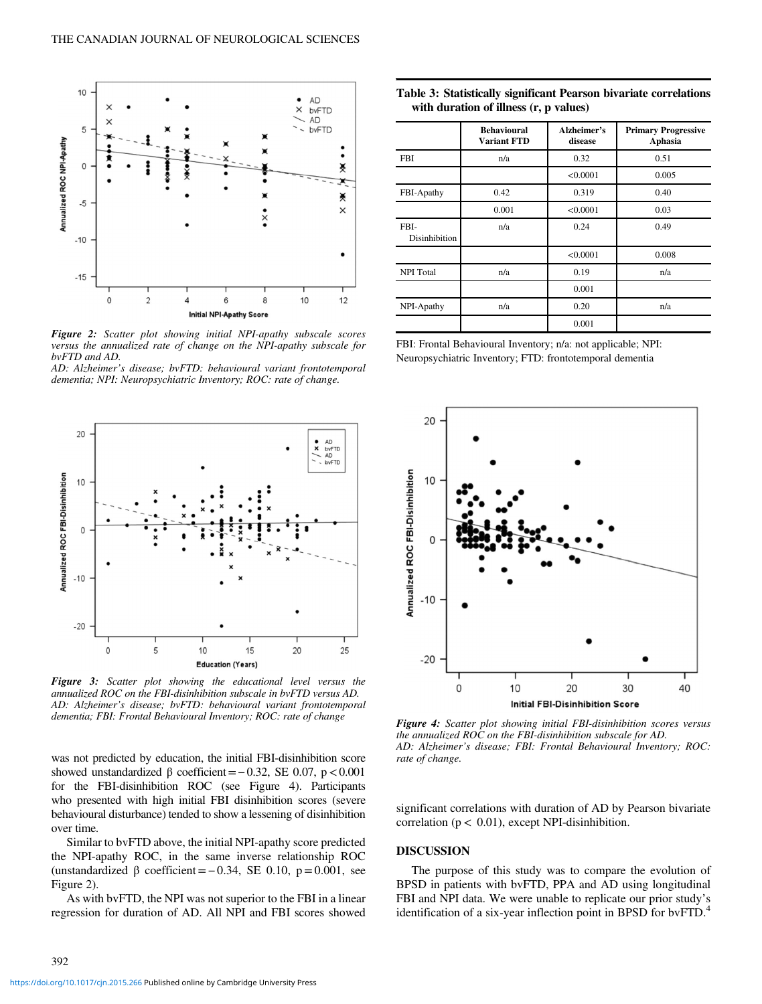<span id="page-3-0"></span>

Figure 2: Scatter plot showing initial NPI-apathy subscale scores versus the annualized rate of change on the NPI-apathy subscale for bvFTD and AD.

AD: Alzheimer's disease; bvFTD: behavioural variant frontotemporal dementia; NPI: Neuropsychiatric Inventory; ROC: rate of change.



Figure 3: Scatter plot showing the educational level versus the annualized ROC on the FBI-disinhibition subscale in bvFTD versus AD. AD: Alzheimer's disease; bvFTD: behavioural variant frontotemporal<br>dementia; FBI: Frontal Behavioural Inventory; ROC: rate of change

was not predicted by education, the initial FBI-disinhibition score showed unstandardized  $\beta$  coefficient = −0.32, SE 0.07, p <0.001 for the FBI-disinhibition ROC (see Figure 4). Participants who presented with high initial FBI disinhibition scores (severe behavioural disturbance) tended to show a lessening of disinhibition over time.

Similar to bvFTD above, the initial NPI-apathy score predicted the NPI-apathy ROC, in the same inverse relationship ROC (unstandardized  $\beta$  coefficient = -0.34, SE 0.10, p = 0.001, see Figure 2).

As with bvFTD, the NPI was not superior to the FBI in a linear regression for duration of AD. All NPI and FBI scores showed

|                                        |  | Table 3: Statistically significant Pearson bivariate correlations |
|----------------------------------------|--|-------------------------------------------------------------------|
| with duration of illness (r, p values) |  |                                                                   |

|                       | <b>Behavioural</b><br><b>Variant FTD</b> | Alzheimer's<br>disease | <b>Primary Progressive</b><br><b>Aphasia</b> |
|-----------------------|------------------------------------------|------------------------|----------------------------------------------|
| <b>FBI</b>            | n/a                                      | 0.32                   | 0.51                                         |
|                       |                                          | < 0.0001               | 0.005                                        |
| FBI-Apathy            | 0.42                                     | 0.319                  | 0.40                                         |
|                       | 0.001                                    | < 0.0001               | 0.03                                         |
| FBI-<br>Disinhibition | n/a                                      | 0.24                   | 0.49                                         |
|                       |                                          | < 0.0001               | 0.008                                        |
| <b>NPI</b> Total      | n/a                                      | 0.19                   | n/a                                          |
|                       |                                          | 0.001                  |                                              |
| NPI-Apathy            | n/a                                      | 0.20                   | n/a                                          |
|                       |                                          | 0.001                  |                                              |

FBI: Frontal Behavioural Inventory; n/a: not applicable; NPI: Neuropsychiatric Inventory; FTD: frontotemporal dementia



Figure 4: Scatter plot showing initial FBI-disinhibition scores versus the annualized ROC on the FBI-disinhibition subscale for AD. AD: Alzheimer's disease; FBI: Frontal Behavioural Inventory; ROC: rate of change.

significant correlations with duration of AD by Pearson bivariate correlation ( $p < 0.01$ ), except NPI-disinhibition.

# DISCUSSION

The purpose of this study was to compare the evolution of BPSD in patients with bvFTD, PPA and AD using longitudinal FBI and NPI data. We were unable to replicate our prior study's identification of a six-year inflection point in BPSD for bvFTD.<sup>[4](#page-5-0)</sup>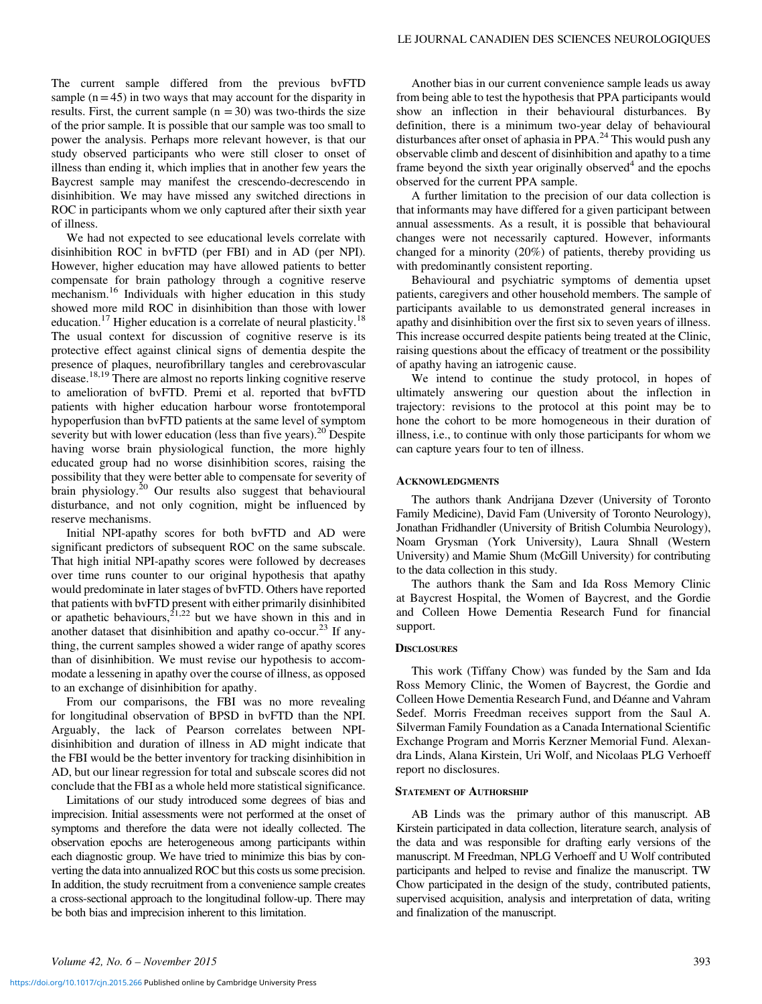The current sample differed from the previous bvFTD sample  $(n=45)$  in two ways that may account for the disparity in results. First, the current sample  $(n = 30)$  was two-thirds the size of the prior sample. It is possible that our sample was too small to power the analysis. Perhaps more relevant however, is that our study observed participants who were still closer to onset of illness than ending it, which implies that in another few years the Baycrest sample may manifest the crescendo-decrescendo in disinhibition. We may have missed any switched directions in ROC in participants whom we only captured after their sixth year of illness.

We had not expected to see educational levels correlate with disinhibition ROC in bvFTD (per FBI) and in AD (per NPI). However, higher education may have allowed patients to better compensate for brain pathology through a cognitive reserve mechanism.<sup>[16](#page-5-0)</sup> Individuals with higher education in this study showed more mild ROC in disinhibition than those with lower education.<sup>[17](#page-5-0)</sup> Higher education is a correlate of neural plasticity.<sup>[18](#page-5-0)</sup> The usual context for discussion of cognitive reserve is its protective effect against clinical signs of dementia despite the presence of plaques, neurofibrillary tangles and cerebrovascular disease.<sup>[18,19](#page-5-0)</sup> There are almost no reports linking cognitive reserve to amelioration of bvFTD. Premi et al. reported that bvFTD patients with higher education harbour worse frontotemporal hypoperfusion than bvFTD patients at the same level of symptom severity but with lower education (less than five years).<sup>[20](#page-5-0)</sup> Despite having worse brain physiological function, the more highly educated group had no worse disinhibition scores, raising the possibility that they were better able to compensate for severity of brain physiology.<sup>20</sup> Our results also suggest that behavioural disturbance, and not only cognition, might be influenced by reserve mechanisms.

Initial NPI-apathy scores for both bvFTD and AD were significant predictors of subsequent ROC on the same subscale. That high initial NPI-apathy scores were followed by decreases over time runs counter to our original hypothesis that apathy would predominate in later stages of bvFTD. Others have reported that patients with bvFTD present with either primarily disinhibited or apathetic behaviours,  $2^{1,22}$  but we have shown in this and in another dataset that disinhibition and apathy co-occur.<sup>[23](#page-5-0)</sup> If anything, the current samples showed a wider range of apathy scores than of disinhibition. We must revise our hypothesis to accommodate a lessening in apathy over the course of illness, as opposed to an exchange of disinhibition for apathy.

From our comparisons, the FBI was no more revealing for longitudinal observation of BPSD in bvFTD than the NPI. Arguably, the lack of Pearson correlates between NPIdisinhibition and duration of illness in AD might indicate that the FBI would be the better inventory for tracking disinhibition in AD, but our linear regression for total and subscale scores did not conclude that the FBI as a whole held more statistical significance.

Limitations of our study introduced some degrees of bias and imprecision. Initial assessments were not performed at the onset of symptoms and therefore the data were not ideally collected. The observation epochs are heterogeneous among participants within each diagnostic group. We have tried to minimize this bias by converting the data into annualized ROC but this costs us some precision. In addition, the study recruitment from a convenience sample creates a cross-sectional approach to the longitudinal follow-up. There may be both bias and imprecision inherent to this limitation.

Another bias in our current convenience sample leads us away from being able to test the hypothesis that PPA participants would show an inflection in their behavioural disturbances. By definition, there is a minimum two-year delay of behavioural disturbances after onset of aphasia in PPA.<sup>[24](#page-5-0)</sup> This would push any observable climb and descent of disinhibition and apathy to a time frame beyond the sixth year originally observed $4$  and the epochs observed for the current PPA sample.

A further limitation to the precision of our data collection is that informants may have differed for a given participant between annual assessments. As a result, it is possible that behavioural changes were not necessarily captured. However, informants changed for a minority (20%) of patients, thereby providing us with predominantly consistent reporting.

Behavioural and psychiatric symptoms of dementia upset patients, caregivers and other household members. The sample of participants available to us demonstrated general increases in apathy and disinhibition over the first six to seven years of illness. This increase occurred despite patients being treated at the Clinic, raising questions about the efficacy of treatment or the possibility of apathy having an iatrogenic cause.

We intend to continue the study protocol, in hopes of ultimately answering our question about the inflection in trajectory: revisions to the protocol at this point may be to hone the cohort to be more homogeneous in their duration of illness, i.e., to continue with only those participants for whom we can capture years four to ten of illness.

# ACKNOWLEDGMENTS

The authors thank Andrijana Dzever (University of Toronto Family Medicine), David Fam (University of Toronto Neurology), Jonathan Fridhandler (University of British Columbia Neurology), Noam Grysman (York University), Laura Shnall (Western University) and Mamie Shum (McGill University) for contributing to the data collection in this study.

The authors thank the Sam and Ida Ross Memory Clinic at Baycrest Hospital, the Women of Baycrest, and the Gordie and Colleen Howe Dementia Research Fund for financial support.

# **DISCLOSURES**

This work (Tiffany Chow) was funded by the Sam and Ida Ross Memory Clinic, the Women of Baycrest, the Gordie and Colleen Howe Dementia Research Fund, and Déanne and Vahram Sedef. Morris Freedman receives support from the Saul A. Silverman Family Foundation as a Canada International Scientific Exchange Program and Morris Kerzner Memorial Fund. Alexandra Linds, Alana Kirstein, Uri Wolf, and Nicolaas PLG Verhoeff report no disclosures.

## STATEMENT OF AUTHORSHIP

AB Linds was the primary author of this manuscript. AB Kirstein participated in data collection, literature search, analysis of the data and was responsible for drafting early versions of the manuscript. M Freedman, NPLG Verhoeff and U Wolf contributed participants and helped to revise and finalize the manuscript. TW Chow participated in the design of the study, contributed patients, supervised acquisition, analysis and interpretation of data, writing and finalization of the manuscript.